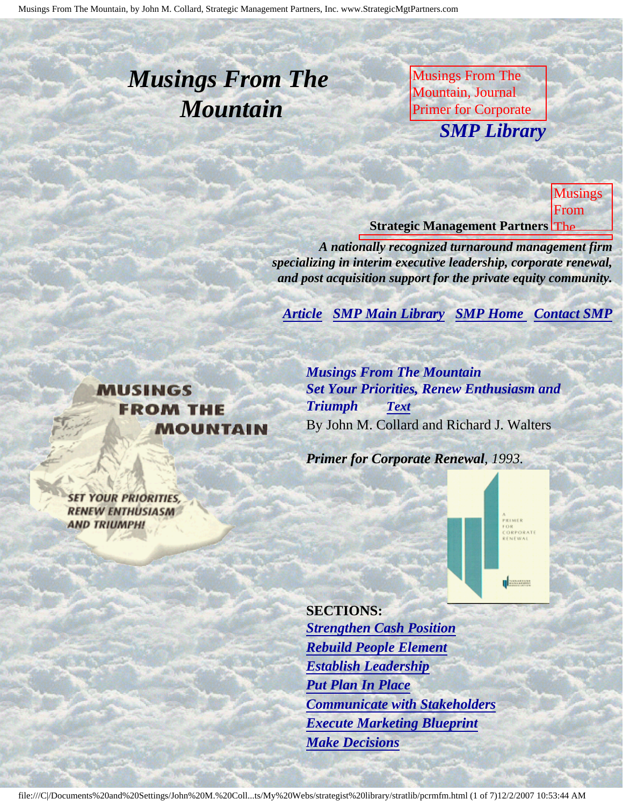# <span id="page-0-3"></span><span id="page-0-2"></span>*Musings From The Mountain*

Musings From The Mountain, Journal Primer for Corporate **SMP Librar** Collard, Strategic *SMP Library*

Management Partners,

Inc., published by

galland Company Management **Strategic Management Partners The** Musings From

for

Inc.,

rs

FRIMER<br>FOR<br>CORPORATE<br>RENEWAL

**U WARRANTO** 

published and

**Turnaround Street** Management Association

Renewal, by John

*A nationally recognized turnaround management firm* specializing in interim executive leadership, corporate renewal, and post acquisition support for the private equity community.

*[Article](#page-0-0) [SMP Main Library](http://members.aol.com/strategist/library.html#TOP) [SMP Home](http://members.aol.com/strategist/home.html#TOP) [Contact SMP](#page-5-0)* 

#### <span id="page-0-0"></span>**MUSINGS FROM THE MOUNTAIN**

M. Collard, Strategic Management Partners, *Musings From The Mountain Set Your Priorities, Renew Enthusiasm and Triumph [Text](#page-1-0)* By John M. Collard and Richard J. Walters

*Primer for Corporate Renewal, 1993.*

<span id="page-0-1"></span>**SET YOUR PRIORITIES, RENEW ENTHUSIASM AND TRIUMPH!** 

> **SECTIONS:** *[Strengthen Cash Position](#page-1-1) [Rebuild People Element](#page-1-2) [Establish Leadership](#page-2-0) [Put Plan In Place](#page-2-1) [Communicate with Stakeholders](#page-3-0) [Execute Marketing Blueprint](#page-3-1) [Make Decisions](#page-4-0)*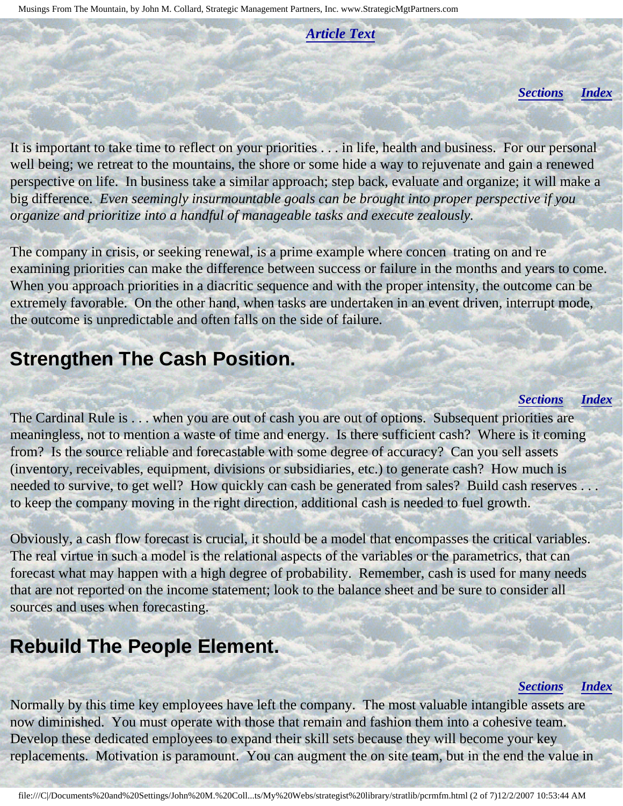*[Article Text](#page-1-0)*

*[Sections](#page-0-1) [Index](#page-0-2)*

<span id="page-1-0"></span>It is important to take time to reflect on your priorities . . . in life, health and business. For our personal well being; we retreat to the mountains, the shore or some hide a way to rejuvenate and gain a renewed perspective on life. In business take a similar approach; step back, evaluate and organize; it will make a big difference. *Even seemingly insurmountable goals can be brought into proper perspective if you organize and prioritize into a handful of manageable tasks and execute zealously.*

The company in crisis, or seeking renewal, is a prime example where concen trating on and re examining priorities can make the difference between success or failure in the months and years to come. When you approach priorities in a diacritic sequence and with the proper intensity, the outcome can be extremely favorable. On the other hand, when tasks are undertaken in an event driven, interrupt mode, the outcome is unpredictable and often falls on the side of failure.

### <span id="page-1-1"></span>**Strengthen The Cash Position.**

#### *[Sections](#page-0-1) [Index](#page-0-2)*

The Cardinal Rule is . . . when you are out of cash you are out of options. Subsequent priorities are meaningless, not to mention a waste of time and energy. Is there sufficient cash? Where is it coming from? Is the source reliable and forecastable with some degree of accuracy? Can you sell assets (inventory, receivables, equipment, divisions or subsidiaries, etc.) to generate cash? How much is needed to survive, to get well? How quickly can cash be generated from sales? Build cash reserves . . . to keep the company moving in the right direction, additional cash is needed to fuel growth.

Obviously, a cash flow forecast is crucial, it should be a model that encompasses the critical variables. The real virtue in such a model is the relational aspects of the variables or the parametrics, that can forecast what may happen with a high degree of probability. Remember, cash is used for many needs that are not reported on the income statement; look to the balance sheet and be sure to consider all sources and uses when forecasting.

### <span id="page-1-2"></span>**Rebuild The People Element.**

#### *[Sections](#page-0-1) [Index](#page-0-2)*

Normally by this time key employees have left the company. The most valuable intangible assets are now diminished. You must operate with those that remain and fashion them into a cohesive team. Develop these dedicated employees to expand their skill sets because they will become your key replacements. Motivation is paramount. You can augment the on site team, but in the end the value in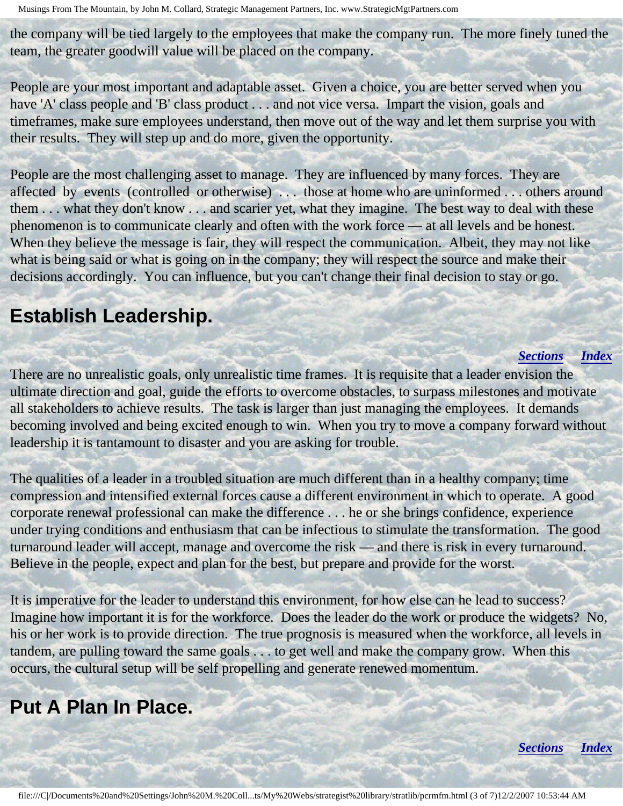the company will be tied largely to the employees that make the company run. The more finely tuned the team, the greater goodwill value will be placed on the company.

People are your most important and adaptable asset. Given a choice, you are better served when you have 'A' class people and 'B' class product . . . and not vice versa. Impart the vision, goals and timeframes, make sure employees understand, then move out of the way and let them surprise you with their results. They will step up and do more, given the opportunity.

People are the most challenging asset to manage. They are influenced by many forces. They are affected by events (controlled or otherwise) . . . those at home who are uninformed . . . others around them . . . what they don't know . . . and scarier yet, what they imagine. The best way to deal with these phenomenon is to communicate clearly and often with the work force — at all levels and be honest. When they believe the message is fair, they will respect the communication. Albeit, they may not like what is being said or what is going on in the company; they will respect the source and make their decisions accordingly. You can influence, but you can't change their final decision to stay or go.

### <span id="page-2-0"></span>**Establish Leadership.**

#### *[Sections](#page-0-1) [Index](#page-0-2)*

There are no unrealistic goals, only unrealistic time frames. It is requisite that a leader envision the ultimate direction and goal, guide the efforts to overcome obstacles, to surpass milestones and motivate all stakeholders to achieve results. The task is larger than just managing the employees. It demands becoming involved and being excited enough to win. When you try to move a company forward without leadership it is tantamount to disaster and you are asking for trouble.

The qualities of a leader in a troubled situation are much different than in a healthy company; time compression and intensified external forces cause a different environment in which to operate. A good corporate renewal professional can make the difference . . . he or she brings confidence, experience under trying conditions and enthusiasm that can be infectious to stimulate the transformation. The good turnaround leader will accept, manage and overcome the risk — and there is risk in every turnaround. Believe in the people, expect and plan for the best, but prepare and provide for the worst.

It is imperative for the leader to understand this environment, for how else can he lead to success? Imagine how important it is for the workforce. Does the leader do the work or produce the widgets? No, his or her work is to provide direction. The true prognosis is measured when the workforce, all levels in tandem, are pulling toward the same goals . . . to get well and make the company grow. When this occurs, the cultural setup will be self propelling and generate renewed momentum.

### <span id="page-2-1"></span>**Put A Plan In Place.**

*[Sections](#page-0-1) [Index](#page-0-2)*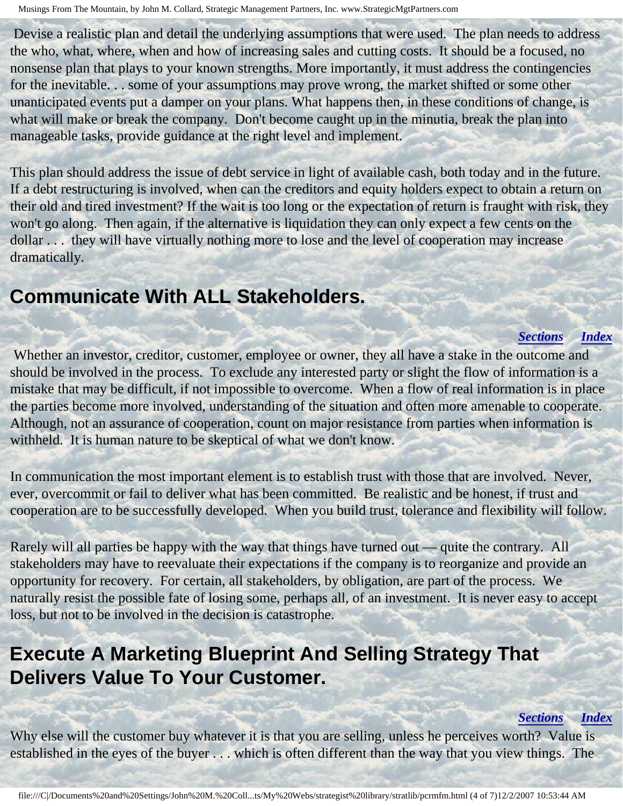Devise a realistic plan and detail the underlying assumptions that were used. The plan needs to address the who, what, where, when and how of increasing sales and cutting costs. It should be a focused, no nonsense plan that plays to your known strengths. More importantly, it must address the contingencies for the inevitable. . . some of your assumptions may prove wrong, the market shifted or some other unanticipated events put a damper on your plans. What happens then, in these conditions of change, is what will make or break the company. Don't become caught up in the minutia, break the plan into manageable tasks, provide guidance at the right level and implement.

This plan should address the issue of debt service in light of available cash, both today and in the future. If a debt restructuring is involved, when can the creditors and equity holders expect to obtain a return on their old and tired investment? If the wait is too long or the expectation of return is fraught with risk, they won't go along. Then again, if the alternative is liquidation they can only expect a few cents on the dollar . . . they will have virtually nothing more to lose and the level of cooperation may increase dramatically.

### <span id="page-3-0"></span>**Communicate With ALL Stakeholders.**

#### *[Sections](#page-0-1) [Index](#page-0-2)*

 Whether an investor, creditor, customer, employee or owner, they all have a stake in the outcome and should be involved in the process. To exclude any interested party or slight the flow of information is a mistake that may be difficult, if not impossible to overcome. When a flow of real information is in place the parties become more involved, understanding of the situation and often more amenable to cooperate. Although, not an assurance of cooperation, count on major resistance from parties when information is withheld. It is human nature to be skeptical of what we don't know.

In communication the most important element is to establish trust with those that are involved. Never, ever, overcommit or fail to deliver what has been committed. Be realistic and be honest, if trust and cooperation are to be successfully developed. When you build trust, tolerance and flexibility will follow.

Rarely will all parties be happy with the way that things have turned out — quite the contrary. All stakeholders may have to reevaluate their expectations if the company is to reorganize and provide an opportunity for recovery. For certain, all stakeholders, by obligation, are part of the process. We naturally resist the possible fate of losing some, perhaps all, of an investment. It is never easy to accept loss, but not to be involved in the decision is catastrophe.

### <span id="page-3-1"></span>**Execute A Marketing Blueprint And Selling Strategy That Delivers Value To Your Customer.**

#### *[Sections](#page-0-1) [Index](#page-0-2)*

Why else will the customer buy whatever it is that you are selling, unless he perceives worth? Value is established in the eyes of the buyer . . . which is often different than the way that you view things. The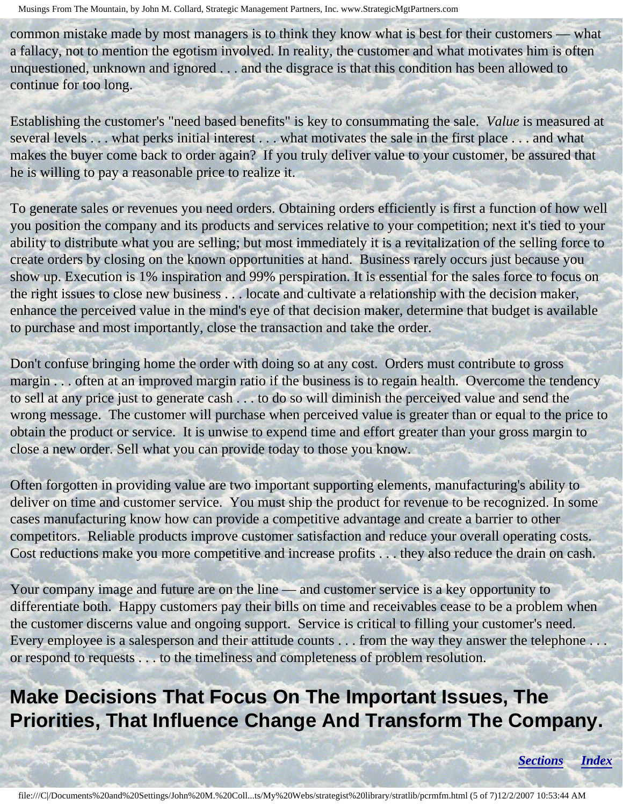common mistake made by most managers is to think they know what is best for their customers — what a fallacy, not to mention the egotism involved. In reality, the customer and what motivates him is often unquestioned, unknown and ignored . . . and the disgrace is that this condition has been allowed to continue for too long.

Establishing the customer's "need based benefits" is key to consummating the sale. *Value* is measured at several levels . . . what perks initial interest . . . what motivates the sale in the first place . . . and what makes the buyer come back to order again? If you truly deliver value to your customer, be assured that he is willing to pay a reasonable price to realize it.

To generate sales or revenues you need orders. Obtaining orders efficiently is first a function of how well you position the company and its products and services relative to your competition; next it's tied to your ability to distribute what you are selling; but most immediately it is a revitalization of the selling force to create orders by closing on the known opportunities at hand. Business rarely occurs just because you show up. Execution is 1% inspiration and 99% perspiration. It is essential for the sales force to focus on the right issues to close new business . . . locate and cultivate a relationship with the decision maker, enhance the perceived value in the mind's eye of that decision maker, determine that budget is available to purchase and most importantly, close the transaction and take the order.

Don't confuse bringing home the order with doing so at any cost. Orders must contribute to gross margin . . . often at an improved margin ratio if the business is to regain health. Overcome the tendency to sell at any price just to generate cash . . . to do so will diminish the perceived value and send the wrong message. The customer will purchase when perceived value is greater than or equal to the price to obtain the product or service. It is unwise to expend time and effort greater than your gross margin to close a new order. Sell what you can provide today to those you know.

Often forgotten in providing value are two important supporting elements, manufacturing's ability to deliver on time and customer service. You must ship the product for revenue to be recognized. In some cases manufacturing know how can provide a competitive advantage and create a barrier to other competitors. Reliable products improve customer satisfaction and reduce your overall operating costs. Cost reductions make you more competitive and increase profits . . . they also reduce the drain on cash.

Your company image and future are on the line — and customer service is a key opportunity to differentiate both. Happy customers pay their bills on time and receivables cease to be a problem when the customer discerns value and ongoing support. Service is critical to filling your customer's need. Every employee is a salesperson and their attitude counts . . . from the way they answer the telephone . . . or respond to requests . . . to the timeliness and completeness of problem resolution.

## <span id="page-4-0"></span>**Make Decisions That Focus On The Important Issues, The Priorities, That Influence Change And Transform The Company.**

*[Sections](#page-0-1) [Index](#page-0-2)*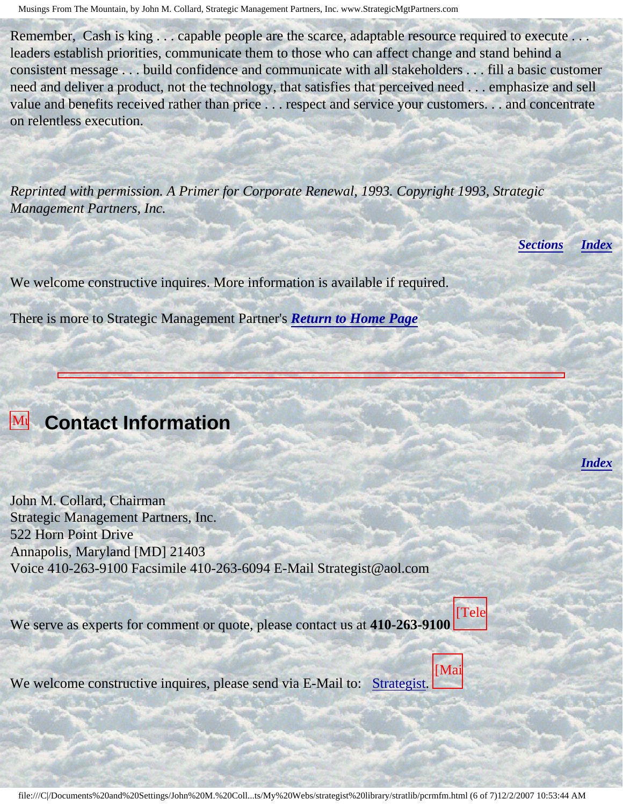Remember, Cash is king . . . capable people are the scarce, adaptable resource required to execute . . . leaders establish priorities, communicate them to those who can affect change and stand behind a consistent message . . . build confidence and communicate with all stakeholders . . . fill a basic customer need and deliver a product, not the technology, that satisfies that perceived need . . . emphasize and sell value and benefits received rather than price . . . respect and service your customers. . . and concentrate on relentless execution.

*Reprinted with permission. A Primer for Corporate Renewal, 1993. Copyright 1993, Strategic Management Partners, Inc.*

*[Sections](#page-0-1) [Index](#page-0-2)*

*[Index](#page-0-2)*

We welcome constructive inquires. More information is available if required.

There is more to Strategic Management Partner's *[Return to Home Page](http://members.aol.com/strategist/home.html#TOP)*

#### <span id="page-5-0"></span>**Mu** Contact Information From

Mountain,

John M.

Strategic

published

Turnaround

by

Journal John M. Collard, Chairman Strategic Management Partners, Inc. 522 Horn Point Drive Annapolis, Maryland [MD] 21403 by Voice 410-263-9100 Facsimile 410-263-6094 E-Mail Strategist@aol.com

We serve as experts for comment or quote, please contact us at **410-263-9100** [Tele

We welco Inc., We welcome constructive inquires, please send via E-Mail to: [Strategist.](mailto:Strategist@aol.com (library pcrmfm))

[Mai